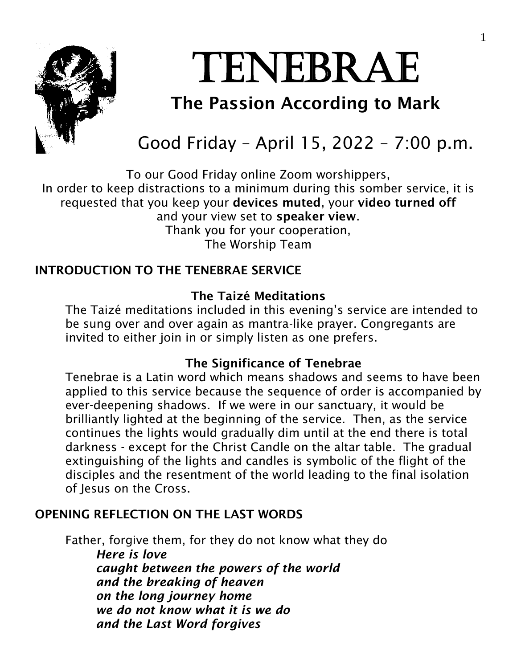

# TENEBRAE

# The Passion According to Mark

# Good Friday – April 15, 2022 – 7:00 p.m.

To our Good Friday online Zoom worshippers, In order to keep distractions to a minimum during this somber service, it is requested that you keep your devices muted, your video turned off and your view set to speaker view. Thank you for your cooperation, The Worship Team

# INTRODUCTION TO THE TENEBRAE SERVICE

# The Taizé Meditations

The Taizé meditations included in this evening's service are intended to be sung over and over again as mantra-like prayer. Congregants are invited to either join in or simply listen as one prefers.

# The Significance of Tenebrae

Tenebrae is a Latin word which means shadows and seems to have been applied to this service because the sequence of order is accompanied by ever-deepening shadows. If we were in our sanctuary, it would be brilliantly lighted at the beginning of the service. Then, as the service continues the lights would gradually dim until at the end there is total darkness - except for the Christ Candle on the altar table. The gradual extinguishing of the lights and candles is symbolic of the flight of the disciples and the resentment of the world leading to the final isolation of Jesus on the Cross.

# OPENING REFLECTION ON THE LAST WORDS

Father, forgive them, for they do not know what they do *Here is love caught between the powers of the world and the breaking of heaven on the long journey home we do not know what it is we do and the Last Word forgives*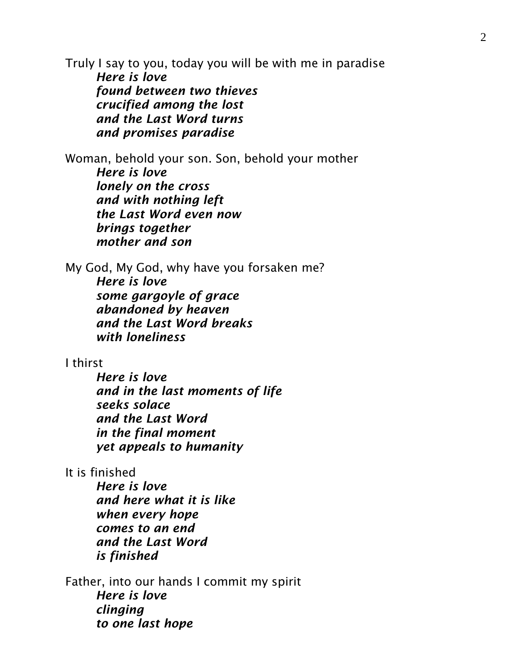Truly I say to you, today you will be with me in paradise *Here is love found between two thieves crucified among the lost and the Last Word turns and promises paradise*

Woman, behold your son. Son, behold your mother *Here is love lonely on the cross and with nothing left the Last Word even now brings together mother and son*

My God, My God, why have you forsaken me? *Here is love some gargoyle of grace abandoned by heaven and the Last Word breaks with loneliness*

# I thirst

*Here is love and in the last moments of life seeks solace and the Last Word in the final moment yet appeals to humanity*

It is finished

*Here is love and here what it is like when every hope comes to an end and the Last Word is finished*

Father, into our hands I commit my spirit *Here is love clinging to one last hope*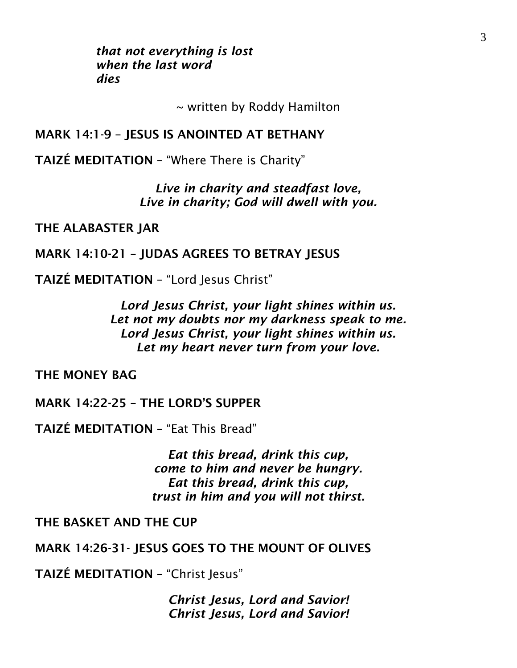*that not everything is lost when the last word dies*

~ written by Roddy Hamilton

## MARK 14:1-9 – JESUS IS ANOINTED AT BETHANY

TAIZÉ MEDITATION – "Where There is Charity"

*Live in charity and steadfast love, Live in charity; God will dwell with you.*

THE ALABASTER JAR

# MARK 14:10-21 – JUDAS AGREES TO BETRAY JESUS

TAIZÉ MEDITATION - "Lord Jesus Christ"

*Lord Jesus Christ, your light shines within us. Let not my doubts nor my darkness speak to me. Lord Jesus Christ, your light shines within us. Let my heart never turn from your love.*

THE MONEY BAG

MARK 14:22-25 – THE LORD'S SUPPER

TAIZÉ MEDITATION – "Eat This Bread"

*Eat this bread, drink this cup, come to him and never be hungry. Eat this bread, drink this cup, trust in him and you will not thirst.*

THE BASKET AND THE CUP

MARK 14:26-31- IESUS GOES TO THE MOUNT OF OLIVES

TAIZÉ MEDITATION - "Christ Jesus"

*Christ Jesus, Lord and Savior! Christ Jesus, Lord and Savior!*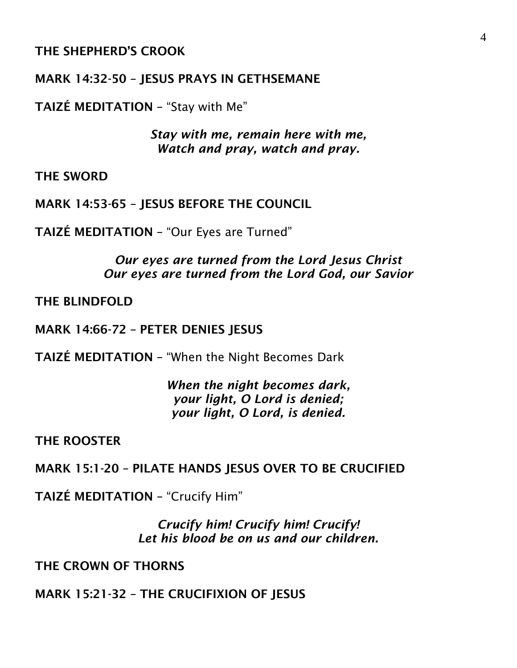# THE SHEPHERD'S CROOK

## MARK 14:32-50 – JESUS PRAYS IN GETHSEMANE

TAIZÉ MEDITATION – "Stay with Me"

*Stay with me, remain here with me, Watch and pray, watch and pray.*

THE SWORD

MARK 14:53-65 – JESUS BEFORE THE COUNCIL

TAIZÉ MEDITATION – "Our Eyes are Turned"

*Our eyes are turned from the Lord Jesus Christ Our eyes are turned from the Lord God, our Savior*

THE BLINDFOLD

MARK 14:66-72 – PETER DENIES JESUS

TAIZÉ MEDITATION – "When the Night Becomes Dark

*When the night becomes dark, your light, O Lord is denied; your light, O Lord, is denied.*

THE ROOSTER

MARK 15:1-20 – PILATE HANDS JESUS OVER TO BE CRUCIFIED

TAIZÉ MEDITATION – "Crucify Him"

*Crucify him! Crucify him! Crucify! Let his blood be on us and our children.*

THE CROWN OF THORNS

MARK 15:21-32 – THE CRUCIFIXION OF JESUS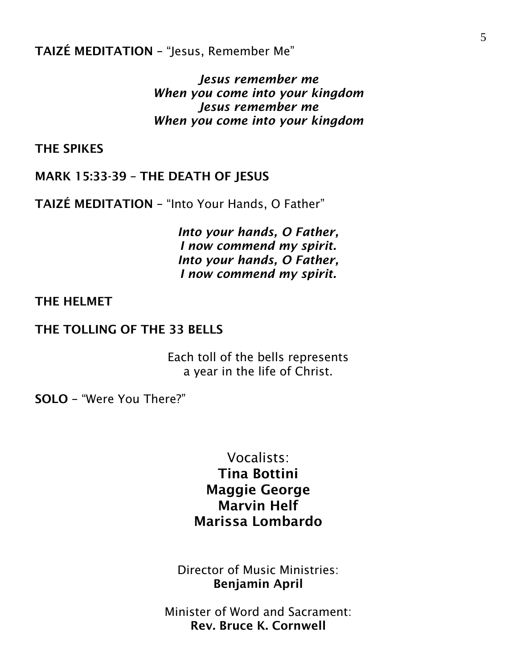TAIZÉ MEDITATION – "Jesus, Remember Me"

*Jesus remember me When you come into your kingdom Jesus remember me When you come into your kingdom*

THE SPIKES

MARK 15:33-39 – THE DEATH OF JESUS

TAIZÉ MEDITATION – "Into Your Hands, O Father"

*Into your hands, O Father, I now commend my spirit. Into your hands, O Father, I now commend my spirit.*

#### THE HELMET

#### THE TOLLING OF THE 33 BELLS

Each toll of the bells represents a year in the life of Christ.

SOLO – "Were You There?"

Vocalists: Tina Bottini Maggie George Marvin Helf Marissa Lombardo

Director of Music Ministries: Benjamin April

Minister of Word and Sacrament: Rev. Bruce K. Cornwell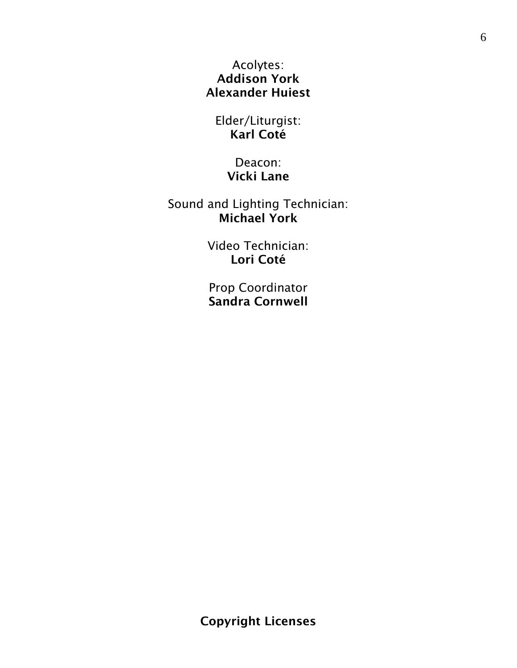Acolytes: Addison York Alexander Huiest

Elder/Liturgist: Karl Coté

> Deacon: Vicki Lane

Sound and Lighting Technician: Michael York

> Video Technician: Lori Coté

Prop Coordinator Sandra Cornwell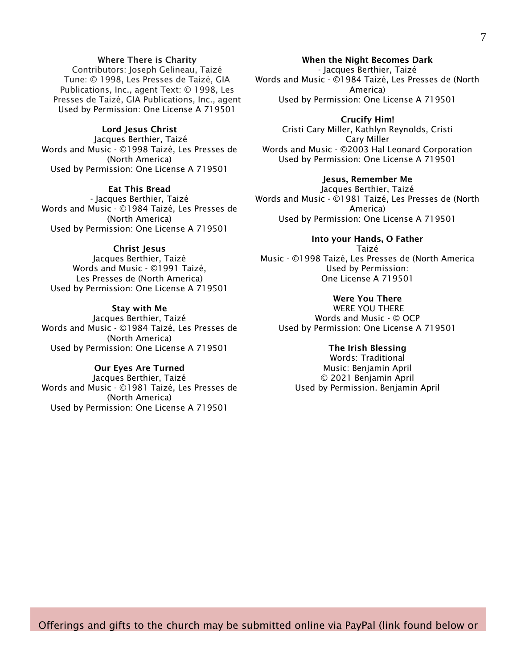#### Where There is Charity

Contributors: Joseph Gelineau, Taizé Tune: © 1998, Les Presses de Taizé, GIA Publications, Inc., agent Text: © 1998, Les Presses de Taizé, GIA Publications, Inc., agent Used by Permission: One License A 719501

#### Lord Jesus Christ

Jacques Berthier, Taizé Words and Music - ©1998 Taizé, Les Presses de (North America) Used by Permission: One License A 719501

#### Eat This Bread

- Jacques Berthier, Taizé Words and Music - ©1984 Taizé, Les Presses de (North America) Used by Permission: One License A 719501

#### Christ Jesus

Jacques Berthier, Taizé Words and Music - ©1991 Taizé, Les Presses de (North America) Used by Permission: One License A 719501

#### Stay with Me

Jacques Berthier, Taizé Words and Music - ©1984 Taizé, Les Presses de (North America) Used by Permission: One License A 719501

#### Our Eyes Are Turned

Jacques Berthier, Taizé Words and Music - ©1981 Taizé, Les Presses de (North America) Used by Permission: One License A 719501

When the Night Becomes Dark - Jacques Berthier, Taizé Words and Music - ©1984 Taizé, Les Presses de (North

America) Used by Permission: One License A 719501

Crucify Him! Cristi Cary Miller, Kathlyn Reynolds, Cristi Cary Miller Words and Music - ©2003 Hal Leonard Corporation Used by Permission: One License A 719501

#### Jesus, Remember Me

Jacques Berthier, Taizé Words and Music - ©1981 Taizé, Les Presses de (North America) Used by Permission: One License A 719501

Into your Hands, O Father Taizé Music - ©1998 Taizé, Les Presses de (North America Used by Permission: One License A 719501

#### Were You There

WERE YOU THERE Words and Music - © OCP Used by Permission: One License A 719501

#### The Irish Blessing

Words: Traditional Music: Benjamin April © 2021 Benjamin April Used by Permission. Benjamin April